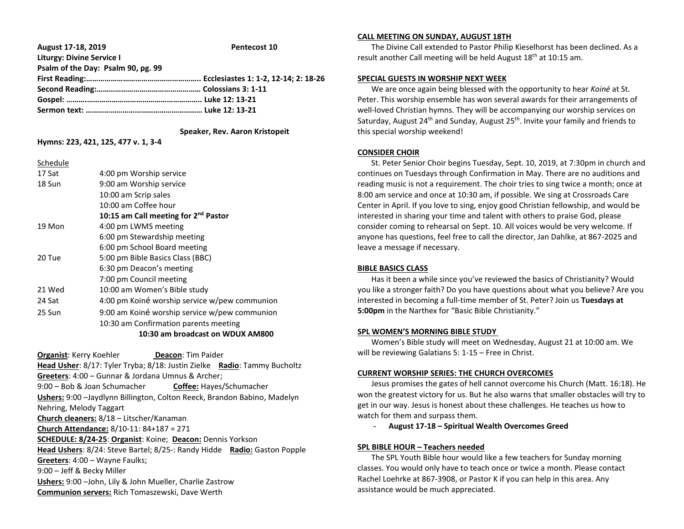| August 17-18, 2019                 | Pentecost 10 |
|------------------------------------|--------------|
| <b>Liturgy: Divine Service I</b>   |              |
| Psalm of the Day: Psalm 90, pg. 99 |              |
|                                    |              |
|                                    |              |
|                                    |              |
|                                    |              |

 **Speaker, Rev. Aaron Kristopeit**

# **Hymns: 223, 421, 125, 477 v. 1, 3-4**

### Schedule

| 17 Sat | 4:00 pm Worship service                          |
|--------|--------------------------------------------------|
| 18 Sun | 9:00 am Worship service                          |
|        | 10:00 am Scrip sales                             |
|        | 10:00 am Coffee hour                             |
|        | 10:15 am Call meeting for 2 <sup>nd</sup> Pastor |
| 19 Mon | 4:00 pm LWMS meeting                             |
|        | 6:00 pm Stewardship meeting                      |
|        | 6:00 pm School Board meeting                     |
| 20 Tue | 5:00 pm Bible Basics Class (BBC)                 |
|        | 6:30 pm Deacon's meeting                         |
|        | 7:00 pm Council meeting                          |
| 21 Wed | 10:00 am Women's Bible study                     |
| 24 Sat | 4:00 pm Koiné worship service w/pew communion    |
| 25 Sun | 9:00 am Koiné worship service w/pew communion    |
|        | 10:30 am Confirmation parents meeting            |
|        | 10:30 am broadcast on WDUX AM800                 |

**Organist:** Kerry Koehler **Deacon:** Tim Paider **Head Usher**: 8/17: Tyler Tryba; 8/18: Justin Zielke **Radio**: Tammy Bucholtz **Greeters**: 4:00 – Gunnar & Jordana Umnus & Archer; 9:00 – Bob & Joan Schumacher **Coffee:** Hayes/Schumacher **Ushers:** 9:00 –Jaydlynn Billington, Colton Reeck, Brandon Babino, Madelyn Nehring, Melody Taggart **Church cleaners:** 8/18 – Litscher/Kanaman **Church Attendance:** 8/10-11: 84+187 = 271 **SCHEDULE: 8/24-25**: **Organist**: Koine; **Deacon:** Dennis Yorkson **Head Ushers**: 8/24: Steve Bartel; 8/25-: Randy Hidde **Radio:** Gaston Popple **Greeters**: 4:00 – Wayne Faulks; 9:00 – Jeff & Becky Miller **Ushers:** 9:00 –John, Lily & John Mueller, Charlie Zastrow **Communion servers:** Rich Tomaszewski, Dave Werth

# **CALL MEETING ON SUNDAY, AUGUST 18TH**

 The Divine Call extended to Pastor Philip Kieselhorst has been declined. As a result another Call meeting will be held August 18th at 10:15 am.

# **SPECIAL GUESTS IN WORSHIP NEXT WEEK**

 We are once again being blessed with the opportunity to hear *Koiné* at St. Peter. This worship ensemble has won several awards for their arrangements of well-loved Christian hymns. They will be accompanying our worship services on Saturday, August 24<sup>th</sup> and Sunday, August  $25<sup>th</sup>$ . Invite your family and friends to this special worship weekend!

### **CONSIDER CHOIR**

 St. Peter Senior Choir begins Tuesday, Sept. 10, 2019, at 7:30pm in church and continues on Tuesdays through Confirmation in May. There are no auditions and reading music is not a requirement. The choir tries to sing twice a month; once at 8:00 am service and once at 10:30 am, if possible. We sing at Crossroads Care Center in April. If you love to sing, enjoy good Christian fellowship, and would be interested in sharing your time and talent with others to praise God, please consider coming to rehearsal on Sept. 10. All voices would be very welcome. If anyone has questions, feel free to call the director, Jan Dahlke, at 867-2025 and leave a message if necessary.

## **BIBLE BASICS CLASS**

 Has it been a while since you've reviewed the basics of Christianity? Would you like a stronger faith? Do you have questions about what you believe? Are you interested in becoming a full-time member of St. Peter? Join us **Tuesdays at 5:00pm** in the Narthex for "Basic Bible Christianity."

## **SPL WOMEN'S MORNING BIBLE STUDY**

 Women's Bible study will meet on Wednesday, August 21 at 10:00 am. We will be reviewing Galatians 5: 1-15 – Free in Christ.

# **CURRENT WORSHIP SERIES: THE CHURCH OVERCOMES**

 Jesus promises the gates of hell cannot overcome his Church (Matt. 16:18). He won the greatest victory for us. But he also warns that smaller obstacles will try to get in our way. Jesus is honest about these challenges. He teaches us how to watch for them and surpass them.

- **August 17-18 – Spiritual Wealth Overcomes Greed**

#### **SPL BIBLE HOUR – Teachers needed**

 The SPL Youth Bible hour would like a few teachers for Sunday morning classes. You would only have to teach once or twice a month. Please contact Rachel Loehrke at 867-3908, or Pastor K if you can help in this area. Any assistance would be much appreciated.